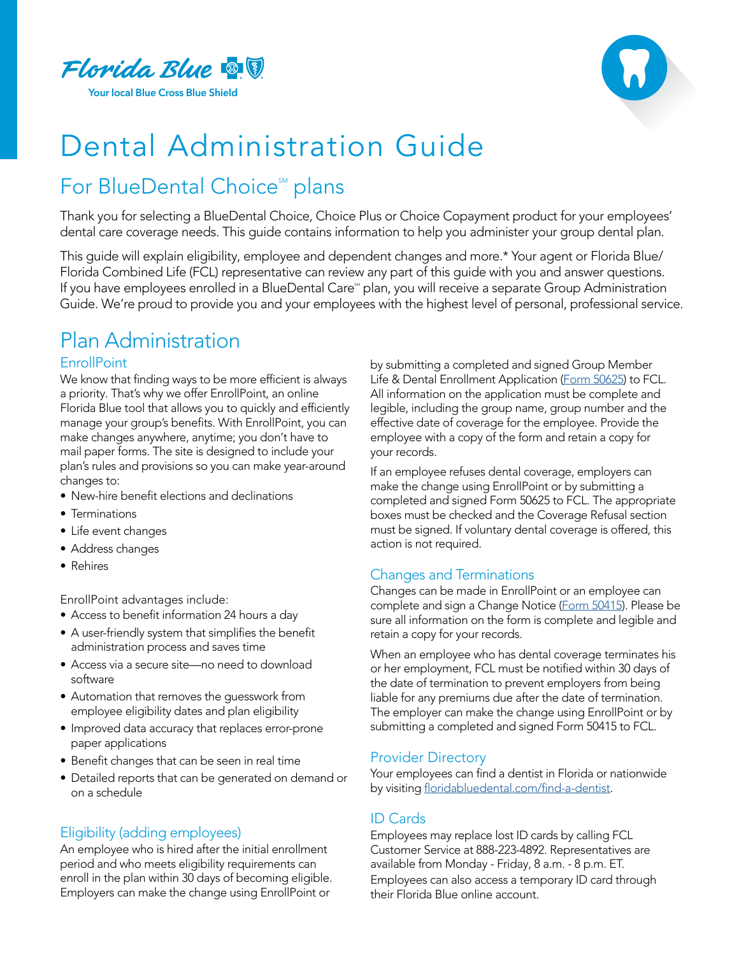



# Dental Administration Guide

# For BlueDental Choice<sup>™</sup> plans

Thank you for selecting a BlueDental Choice, Choice Plus or Choice Copayment product for your employees' dental care coverage needs. This guide contains information to help you administer your group dental plan.

This guide will explain eligibility, employee and dependent changes and more.\* Your agent or Florida Blue/ Florida Combined Life (FCL) representative can review any part of this guide with you and answer questions. If you have employees enrolled in a BlueDental Care<sup>®</sup> plan, you will receive a separate Group Administration Guide. We're proud to provide you and your employees with the highest level of personal, professional service.

# Plan Administration

## **EnrollPoint**

We know that finding ways to be more efficient is always a priority. That's why we offer EnrollPoint, an online Florida Blue tool that allows you to quickly and efficiently manage your group's benefits. With EnrollPoint, you can make changes anywhere, anytime; you don't have to mail paper forms. The site is designed to include your plan's rules and provisions so you can make year-around changes to:

- New-hire benefit elections and declinations
- Terminations
- Life event changes
- Address changes
- Rehires

EnrollPoint advantages include:

- Access to benefit information 24 hours a day
- A user-friendly system that simplifies the benefit administration process and saves time
- Access via a secure site—no need to download software
- Automation that removes the guesswork from employee eligibility dates and plan eligibility
- Improved data accuracy that replaces error-prone paper applications
- Benefit changes that can be seen in real time
- Detailed reports that can be generated on demand or on a schedule

# Eligibility (adding employees)

An employee who is hired after the initial enrollment period and who meets eligibility requirements can enroll in the plan within 30 days of becoming eligible. Employers can make the change using EnrollPoint or

by submitting a completed and signed Group Member Life & Dental Enrollment Application ([Form 50625](https://docs.floridabluedental.com/files/50625-0816R-TAGLINES-COMBINED-EE-DENTAL-APPLICATION.pdf )) to FCL. All information on the application must be complete and legible, including the group name, group number and the effective date of coverage for the employee. Provide the employee with a copy of the form and retain a copy for your records.

If an employee refuses dental coverage, employers can make the change using EnrollPoint or by submitting a completed and signed Form 50625 to FCL. The appropriate boxes must be checked and the Coverage Refusal section must be signed. If voluntary dental coverage is offered, this action is not required.

# Changes and Terminations

Changes can be made in EnrollPoint or an employee can complete and sign a Change Notice ([Form 50415](https://docs.floridabluedental.com/files/GROUP-CHANGE-FORM-PPO-50415.pdf )). Please be sure all information on the form is complete and legible and retain a copy for your records.

When an employee who has dental coverage terminates his or her employment, FCL must be notified within 30 days of the date of termination to prevent employers from being liable for any premiums due after the date of termination. The employer can make the change using EnrollPoint or by submitting a completed and signed Form 50415 to FCL.

## Provider Directory

Your employees can find a dentist in Florida or nationwide by visiting [floridabluedental.com/find-a-dentist](http://floridabluedental.com/find-a-dentist).

# ID Cards

Employees may replace lost ID cards by calling FCL Customer Service at 888-223-4892. Representatives are available from Monday - Friday, 8 a.m. - 8 p.m. ET. Employees can also access a temporary ID card through their Florida Blue online account.